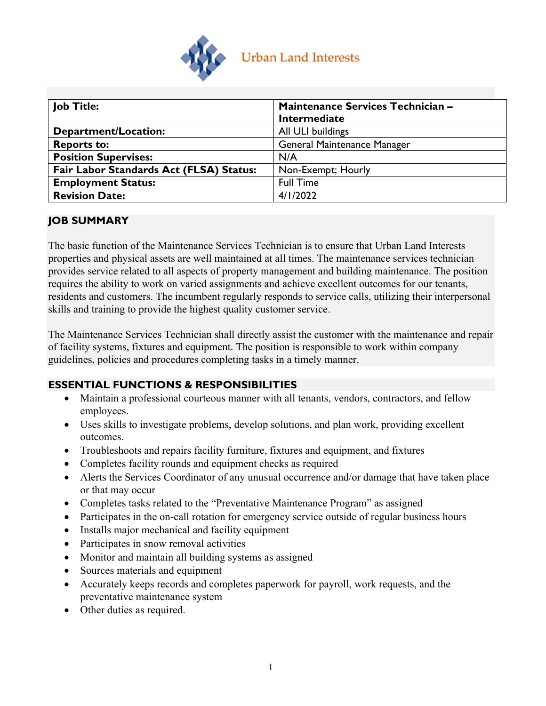

| <b>Job Title:</b>                       | Maintenance Services Technician -  |  |  |
|-----------------------------------------|------------------------------------|--|--|
|                                         | <b>Intermediate</b>                |  |  |
| <b>Department/Location:</b>             | All ULI buildings                  |  |  |
| <b>Reports to:</b>                      | <b>General Maintenance Manager</b> |  |  |
| <b>Position Supervises:</b>             | N/A                                |  |  |
| Fair Labor Standards Act (FLSA) Status: | Non-Exempt; Hourly                 |  |  |
| <b>Employment Status:</b>               | <b>Full Time</b>                   |  |  |
| <b>Revision Date:</b>                   | 4/1/2022                           |  |  |

### **JOB SUMMARY**

The basic function of the Maintenance Services Technician is to ensure that Urban Land Interests properties and physical assets are well maintained at all times. The maintenance services technician provides service related to all aspects of property management and building maintenance. The position requires the ability to work on varied assignments and achieve excellent outcomes for our tenants, residents and customers. The incumbent regularly responds to service calls, utilizing their interpersonal skills and training to provide the highest quality customer service.

The Maintenance Services Technician shall directly assist the customer with the maintenance and repair of facility systems, fixtures and equipment. The position is responsible to work within company guidelines, policies and procedures completing tasks in a timely manner.

# **ESSENTIAL FUNCTIONS & RESPONSIBILITIES**

- Maintain a professional courteous manner with all tenants, vendors, contractors, and fellow employees.
- Uses skills to investigate problems, develop solutions, and plan work, providing excellent outcomes.
- Troubleshoots and repairs facility furniture, fixtures and equipment, and fixtures
- Completes facility rounds and equipment checks as required
- Alerts the Services Coordinator of any unusual occurrence and/or damage that have taken place or that may occur
- Completes tasks related to the "Preventative Maintenance Program" as assigned
- Participates in the on-call rotation for emergency service outside of regular business hours
- Installs major mechanical and facility equipment
- Participates in snow removal activities
- Monitor and maintain all building systems as assigned
- Sources materials and equipment
- Accurately keeps records and completes paperwork for payroll, work requests, and the preventative maintenance system
- Other duties as required.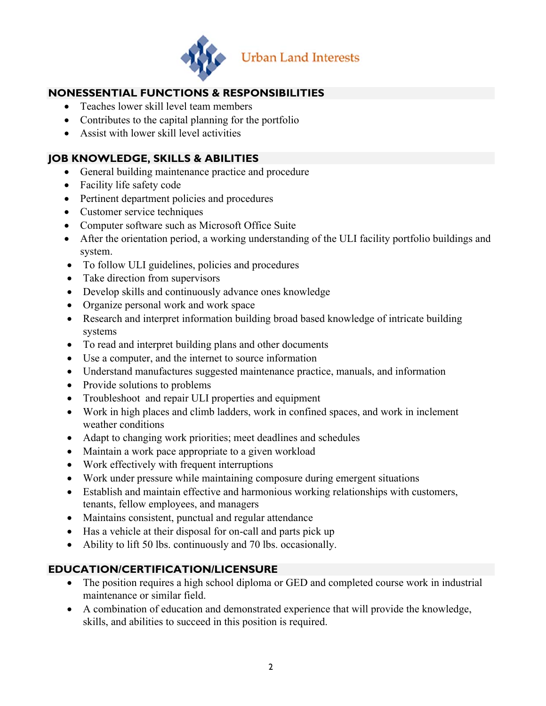

# **NONESSENTIAL FUNCTIONS & RESPONSIBILITIES**

- Teaches lower skill level team members
- Contributes to the capital planning for the portfolio
- Assist with lower skill level activities

### **JOB KNOWLEDGE, SKILLS & ABILITIES**

- General building maintenance practice and procedure
- Facility life safety code
- Pertinent department policies and procedures
- Customer service techniques
- Computer software such as Microsoft Office Suite
- After the orientation period, a working understanding of the ULI facility portfolio buildings and system.
- To follow ULI guidelines, policies and procedures
- Take direction from supervisors
- Develop skills and continuously advance ones knowledge
- Organize personal work and work space
- Research and interpret information building broad based knowledge of intricate building systems
- To read and interpret building plans and other documents
- Use a computer, and the internet to source information
- Understand manufactures suggested maintenance practice, manuals, and information
- Provide solutions to problems
- Troubleshoot and repair ULI properties and equipment
- Work in high places and climb ladders, work in confined spaces, and work in inclement weather conditions
- Adapt to changing work priorities; meet deadlines and schedules
- Maintain a work pace appropriate to a given workload
- Work effectively with frequent interruptions
- Work under pressure while maintaining composure during emergent situations
- Establish and maintain effective and harmonious working relationships with customers, tenants, fellow employees, and managers
- Maintains consistent, punctual and regular attendance
- Has a vehicle at their disposal for on-call and parts pick up
- Ability to lift 50 lbs. continuously and 70 lbs. occasionally.

# **EDUCATION/CERTIFICATION/LICENSURE**

- The position requires a high school diploma or GED and completed course work in industrial maintenance or similar field.
- A combination of education and demonstrated experience that will provide the knowledge, skills, and abilities to succeed in this position is required.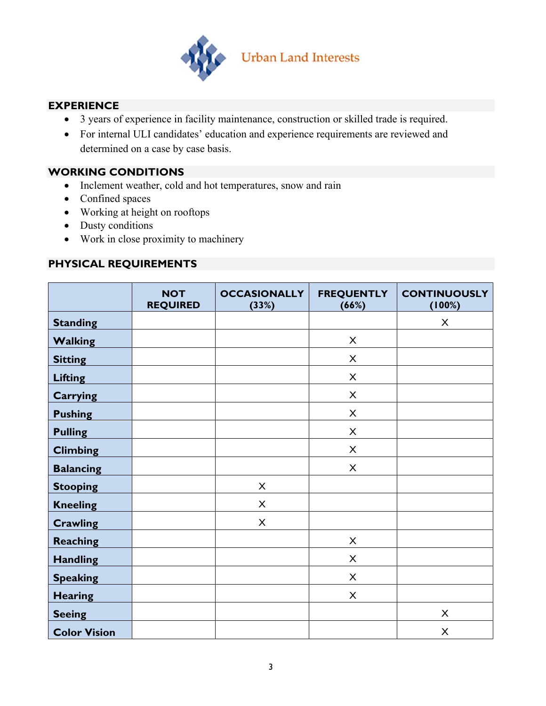

### **EXPERIENCE**

- 3 years of experience in facility maintenance, construction or skilled trade is required.
- For internal ULI candidates' education and experience requirements are reviewed and determined on a case by case basis.

### **WORKING CONDITIONS**

- Inclement weather, cold and hot temperatures, snow and rain
- Confined spaces
- Working at height on rooftops
- Dusty conditions
- Work in close proximity to machinery

### **PHYSICAL REQUIREMENTS**

|                     | <b>NOT</b><br><b>REQUIRED</b> | <b>OCCASIONALLY</b><br>(33%) | <b>FREQUENTLY</b><br>(66%) | <b>CONTINUOUSLY</b><br>(100%) |
|---------------------|-------------------------------|------------------------------|----------------------------|-------------------------------|
| <b>Standing</b>     |                               |                              |                            | X                             |
| <b>Walking</b>      |                               |                              | X                          |                               |
| <b>Sitting</b>      |                               |                              | X                          |                               |
| <b>Lifting</b>      |                               |                              | X                          |                               |
| <b>Carrying</b>     |                               |                              | X                          |                               |
| <b>Pushing</b>      |                               |                              | X                          |                               |
| <b>Pulling</b>      |                               |                              | X                          |                               |
| <b>Climbing</b>     |                               |                              | X                          |                               |
| <b>Balancing</b>    |                               |                              | $\mathsf{X}$               |                               |
| <b>Stooping</b>     |                               | X                            |                            |                               |
| <b>Kneeling</b>     |                               | $\times$                     |                            |                               |
| <b>Crawling</b>     |                               | X                            |                            |                               |
| <b>Reaching</b>     |                               |                              | X                          |                               |
| <b>Handling</b>     |                               |                              | $\times$                   |                               |
| <b>Speaking</b>     |                               |                              | $\boldsymbol{\mathsf{X}}$  |                               |
| <b>Hearing</b>      |                               |                              | X                          |                               |
| <b>Seeing</b>       |                               |                              |                            | X                             |
| <b>Color Vision</b> |                               |                              |                            | $\pmb{\times}$                |